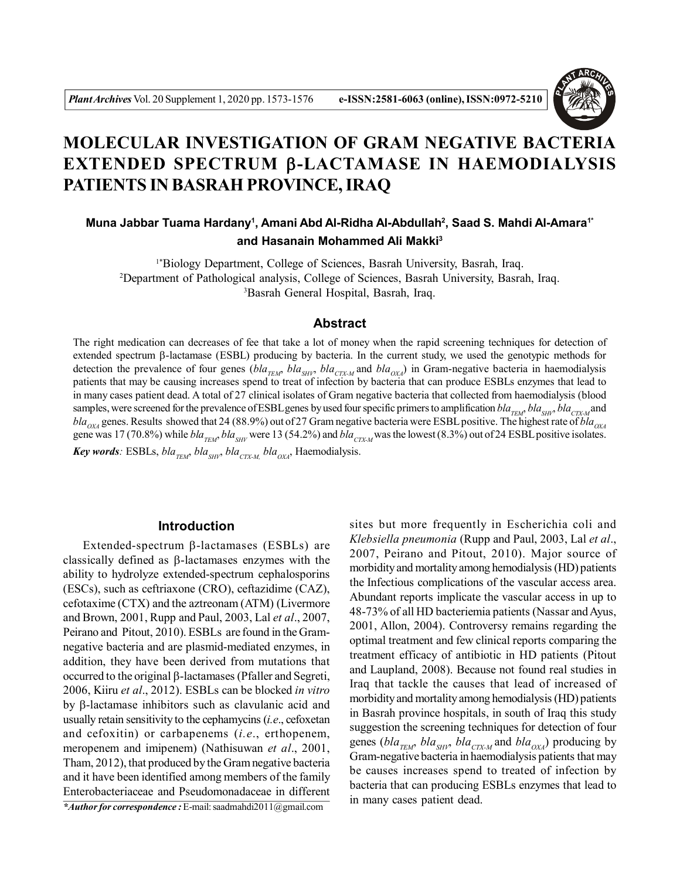

# **MOLECULAR INVESTIGATION OF GRAM NEGATIVE BACTERIA EXTENDED SPECTRUM -LACTAMASE IN HAEMODIALYSIS PATIENTS IN BASRAH PROVINCE, IRAQ**

## **Muna Jabbar Tuama Hardany<sup>1</sup> , Amani Abd Al-Ridha Al-Abdullah<sup>2</sup> , Saad S. Mahdi Al-Amara1\* and Hasanain Mohammed Ali Makki<sup>3</sup>**

1\*Biology Department, College of Sciences, Basrah University, Basrah, Iraq. <sup>2</sup>Department of Pathological analysis, College of Sciences, Basrah University, Basrah, Iraq. <sup>3</sup>Basrah General Hospital, Basrah, Iraq.

### **Abstract**

The right medication can decreases of fee that take a lot of money when the rapid screening techniques for detection of extended spectrum  $\beta$ -lactamase (ESBL) producing by bacteria. In the current study, we used the genotypic methods for detection the prevalence of four genes ( $bla_{TEM}$ ,  $bla_{SHY}$ ,  $bla_{CTX-M}$  and  $bla_{OX}$ ) in Gram-negative bacteria in haemodialysis patients that may be causing increases spend to treat of infection by bacteria that can produce ESBLs enzymes that lead to in many cases patient dead. A total of 27 clinical isolates of Gram negative bacteria that collected from haemodialysis (blood samples, were screened for the prevalence of ESBL genes by used four specific primers to amplification *bla<sub>TEM</sub>*, *bla<sub>CTX-M</sub>* and *blaOXA* genes. Results showed that 24 (88.9%) out of 27 Gram negative bacteria were ESBL positive. The highest rate of *blaOXA* gene was 17 (70.8%) while  $bla_{TEM}$ ,  $bla_{SHV}$  were 13 (54.2%) and  $bla_{CTX-M}$  was the lowest (8.3%) out of 24 ESBL positive isolates. *Key words*: ESBLs,  $bla_{TFM}$ ,  $bla_{SHN}$ ,  $bla_{CTXM}$ ,  $bla_{OXA}$ , Haemodialysis.

## **Introduction**

Extended-spectrum  $\beta$ -lactamases (ESBLs) are classically defined as  $\beta$ -lactamases enzymes with the ability to hydrolyze extended-spectrum cephalosporins (ESCs), such as ceftriaxone (CRO), ceftazidime (CAZ), cefotaxime (CTX) and the aztreonam (ATM) (Livermore and Brown, 2001, Rupp and Paul, 2003, Lal *et al*., 2007, Peirano and Pitout, 2010). ESBLs are found in the Gramnegative bacteria and are plasmid-mediated enzymes, in addition, they have been derived from mutations that occurred to the original  $\beta$ -lactamases (Pfaller and Segreti, 2006, Kiiru *et al*., 2012). ESBLs can be blocked *in vitro* by  $\beta$ -lactamase inhibitors such as clavulanic acid and usually retain sensitivity to the cephamycins (*i.e*., cefoxetan and cefoxitin) or carbapenems (*i.e*., erthopenem, meropenem and imipenem) (Nathisuwan *et al*., 2001, Tham, 2012), that produced by the Gram negative bacteria and it have been identified among members of the family Enterobacteriaceae and Pseudomonadaceae in different *\*Author for correspondence :* E-mail: saadmahdi2011@gmail.com

sites but more frequently in Escherichia coli and *Klebsiella pneumonia* (Rupp and Paul, 2003, Lal *et al*., 2007, Peirano and Pitout, 2010). Major source of morbidity and mortality among hemodialysis (HD) patients the Infectious complications of the vascular access area. Abundant reports implicate the vascular access in up to 48-73% of all HD bacteriemia patients (Nassar and Ayus, 2001, Allon, 2004). Controversy remains regarding the optimal treatment and few clinical reports comparing the treatment efficacy of antibiotic in HD patients (Pitout and Laupland, 2008). Because not found real studies in Iraq that tackle the causes that lead of increased of morbidity and mortality among hemodialysis (HD) patients in Basrah province hospitals, in south of Iraq this study suggestion the screening techniques for detection of four genes (*bla*<sub>*TEM</sub>*, *bla*<sub>*CIX-M*</sub> and *bla*<sub>*OXA*</sub>) producing by</sub> Gram-negative bacteria in haemodialysis patients that may be causes increases spend to treated of infection by bacteria that can producing ESBLs enzymes that lead to in many cases patient dead.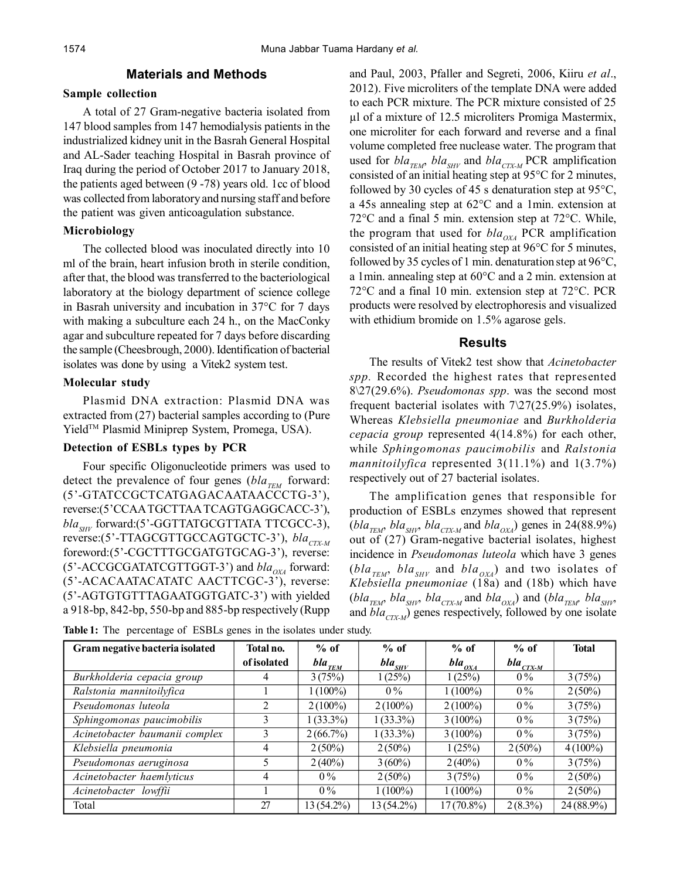#### **Materials and Methods**

#### **Sample collection**

A total of 27 Gram-negative bacteria isolated from 147 blood samples from 147 hemodialysis patients in the industrialized kidney unit in the Basrah General Hospital and AL-Sader teaching Hospital in Basrah province of Iraq during the period of October 2017 to January 2018, the patients aged between (9 -78) years old. 1cc of blood was collected from laboratory and nursing staff and before the patient was given anticoagulation substance.

## **Microbiology**

The collected blood was inoculated directly into 10 ml of the brain, heart infusion broth in sterile condition, after that, the blood was transferred to the bacteriological laboratory at the biology department of science college in Basrah university and incubation in 37°C for 7 days with making a subculture each 24 h., on the MacConky agar and subculture repeated for 7 days before discarding the sample (Cheesbrough, 2000). Identification of bacterial isolates was done by using a Vitek2 system test.

#### **Molecular study**

Plasmid DNA extraction: Plasmid DNA was extracted from (27) bacterial samples according to (Pure Yield<sup>™</sup> Plasmid Miniprep System, Promega, USA).

## **Detection of ESBLs types by PCR**

Four specific Oligonucleotide primers was used to detect the prevalence of four genes ( $bla_{TEM}$  forward: (5'-GTATCCGCTCATGAGACAATAACCCTG-3'), reverse:(5'CCAA TGCTTAA TCAGTGAGGCACC-3'), *bla*<sub>*SHV</sub>* forward:(5'-GGTTATGCGTTATA TTCGCC-3),</sub> reverse:(5'-TTAGCGTTGCCAGTGCTC-3'), *bla<sub>CTX-M</sub>* foreword:(5'-CGCTTTGCGATGTGCAG-3'), reverse: (5'-ACCGCGATATCGTTGGT-3') and *bla*<sub>*OXA*</sub> forward: (5'-ACACAATACATATC AACTTCGC-3'), reverse: (5'-AGTGTGTTTAGAATGGTGATC-3') with yielded a 918-bp, 842-bp, 550-bp and 885-bp respectively (Rupp

and Paul, 2003, Pfaller and Segreti, 2006, Kiiru *et al*., 2012). Five microliters of the template DNA were added to each PCR mixture. The PCR mixture consisted of 25 µl of a mixture of 12.5 microliters Promiga Mastermix, one microliter for each forward and reverse and a final volume completed free nuclease water. The program that used for  $bla_{\text{TEM}}$ ,  $bla_{\text{SHV}}$  and  $bla_{\text{CTX-M}}$  PCR amplification consisted of an initial heating step at 95°C for 2 minutes, followed by 30 cycles of 45 s denaturation step at  $95^{\circ}$ C, a 45s annealing step at 62°C and a 1min. extension at 72°C and a final 5 min. extension step at 72°C. While, the program that used for  $bla_{OVA}$  PCR amplification consisted of an initial heating step at 96°C for 5 minutes, followed by 35 cycles of 1 min. denaturation step at 96°C, a 1min. annealing step at 60°C and a 2 min. extension at 72°C and a final 10 min. extension step at 72°C. PCR products were resolved by electrophoresis and visualized with ethidium bromide on 1.5% agarose gels.

## **Results**

The results of Vitek2 test show that *Acinetobacter spp.* Recorded the highest rates that represented 8\27(29.6%). *Pseudomonas spp*. was the second most frequent bacterial isolates with  $7\sqrt{27(25.9\%)}$  isolates, Whereas *Klebsiella pneumoniae* and *Burkholderia cepacia group* represented 4(14.8%) for each other, while *Sphingomonas paucimobilis* and *Ralstonia mannitoilyfica* represented 3(11.1%) and 1(3.7%) respectively out of 27 bacterial isolates.

The amplification genes that responsible for production of ESBLs enzymes showed that represent  $(bla_{TEM}$ ,  $bla_{SHN}$ ,  $bla_{CTXM}$  and  $bla_{OXA}$ ) genes in 24(88.9%) out of (27) Gram-negative bacterial isolates, highest incidence in *Pseudomonas luteola* which have 3 genes  $(bla_{\tau EM}$ ,  $bla_{SHV}$  and  $bla_{OXA}$ ) and two isolates of *Klebsiella pneumoniae* (18a) and (18b) which have  $(bla_{\textit{TEM}}$ ,  $bla_{\textit{SHV}}$ ,  $bla_{\textit{CTX-M}}$  and  $bla_{\textit{OX/A}}$ ) and  $(bla_{\textit{TEM}}$ ,  $bla_{\textit{SHV}}$ and *bla*<sub>CTX-M</sub>) genes respectively, followed by one isolate

| Gram negative bacteria isolated | Total no.   | $%$ of                            | $%$ of      | $%$ of       | $%$ of                      | <b>Total</b> |
|---------------------------------|-------------|-----------------------------------|-------------|--------------|-----------------------------|--------------|
|                                 | of isolated | $bla_{\mathcal{I}\underline{EM}}$ | $bla_{SHV}$ | $bla_{OXA}$  | $bla_{\frac{CIX-M}{CIX-M}}$ |              |
| Burkholderia cepacia group      | 4           | 3(75%)                            | 1(25%)      | 1(25%)       | $0\%$                       | 3(75%)       |
| Ralstonia mannitoilyfica        |             | $1(100\%)$                        | $0\%$       | $1(100\%)$   | $0\%$                       | $2(50\%)$    |
| Pseudomonas luteola             |             | $2(100\%)$                        | $2(100\%)$  | $2(100\%)$   | $0\%$                       | 3(75%)       |
| Sphingomonas paucimobilis       |             | $1(33.3\%)$                       | $1(33.3\%)$ | $3(100\%)$   | $0\%$                       | 3(75%)       |
| Acinetobacter baumanii complex  |             | 2(66.7%)                          | $1(33.3\%)$ | $3(100\%)$   | $0\%$                       | 3(75%)       |
| Klebsiella pneumonia            | 4           | $2(50\%)$                         | $2(50\%)$   | 1(25%)       | $2(50\%)$                   | $4(100\%)$   |
| Pseudomonas aeruginosa          |             | $2(40\%)$                         | $3(60\%)$   | $2(40\%)$    | $0\%$                       | 3(75%)       |
| Acinetobacter haemlyticus       | 4           | $0\%$                             | $2(50\%)$   | 3(75%)       | $0\%$                       | $2(50\%)$    |
| Acinetobacter lowffii           |             | $0\%$                             | $1(100\%)$  | $1(100\%)$   | $0\%$                       | $2(50\%)$    |
| Total                           | 27          | 13 (54.2%)                        | 13 (54.2%)  | $17(70.8\%)$ | $2(8.3\%)$                  | $24(88.9\%)$ |

Table 1: The percentage of ESBLs genes in the isolates under study.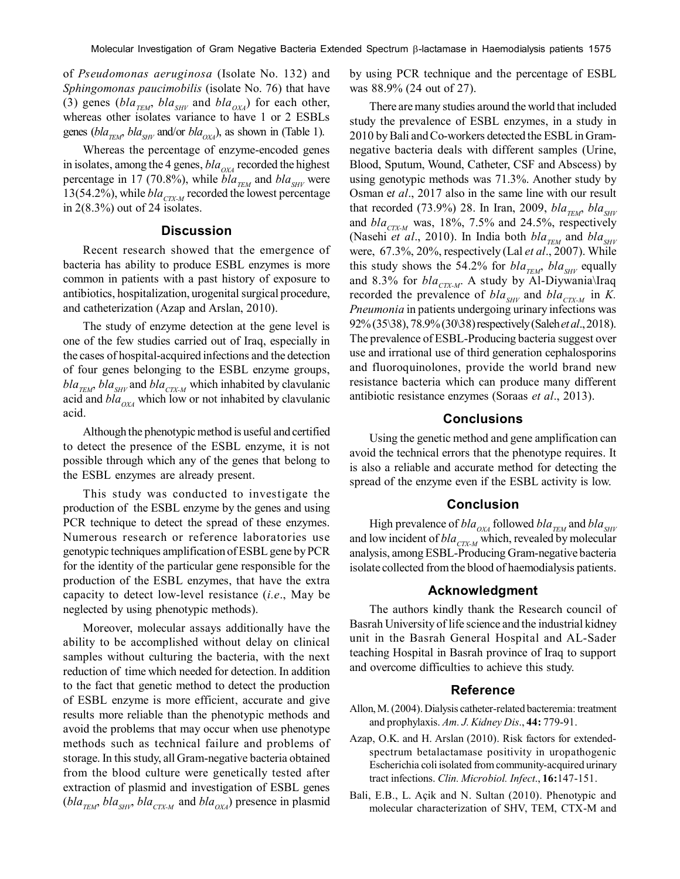of *Pseudomonas aeruginosa* (Isolate No. 132) and *Sphingomonas paucimobilis* (isolate No. 76) that have (3) genes (*bla<sub>TEM</sub>*, *bla<sub>SHV</sub>* and *bla<sub>OXA</sub>*) for each other, whereas other isolates variance to have 1 or 2 ESBLs genes ( $bla_{TEM}$ ,  $bla_{SHV}$  and/or  $bla_{OXA}$ ), as shown in (Table 1).

Whereas the percentage of enzyme-encoded genes in isolates, among the 4 genes,  $bla_{OX}$  recorded the highest percentage in 17 (70.8%), while  $bla_{TEM}$  and  $bla_{SHV}$  were 13(54.2%), while  $bla_{CTX-M}$  recorded the lowest percentage in 2(8.3%) out of 24 isolates.

## **Discussion**

Recent research showed that the emergence of bacteria has ability to produce ESBL enzymes is more common in patients with a past history of exposure to antibiotics, hospitalization, urogenital surgical procedure, and catheterization (Azap and Arslan, 2010).

The study of enzyme detection at the gene level is one of the few studies carried out of Iraq, especially in the cases of hospital-acquired infections and the detection of four genes belonging to the ESBL enzyme groups,  $bla_{TEM}$ ,  $bla_{SHV}$  and  $bla_{CTX-M}$  which inhabited by clavulanic acid and  $bla_{OX}$  which low or not inhabited by clavulanic acid.

Although the phenotypic method is useful and certified to detect the presence of the ESBL enzyme, it is not possible through which any of the genes that belong to the ESBL enzymes are already present.

This study was conducted to investigate the production of the ESBL enzyme by the genes and using PCR technique to detect the spread of these enzymes. Numerous research or reference laboratories use genotypic techniques amplification of ESBL gene by PCR for the identity of the particular gene responsible for the production of the ESBL enzymes, that have the extra capacity to detect low-level resistance (*i.e*., May be neglected by using phenotypic methods).

Moreover, molecular assays additionally have the ability to be accomplished without delay on clinical samples without culturing the bacteria, with the next reduction of time which needed for detection. In addition to the fact that genetic method to detect the production of ESBL enzyme is more efficient, accurate and give results more reliable than the phenotypic methods and avoid the problems that may occur when use phenotype methods such as technical failure and problems of storage. In this study, all Gram-negative bacteria obtained from the blood culture were genetically tested after extraction of plasmid and investigation of ESBL genes  $(bla_{TEM}, bla_{SHV}, bla_{CTXM}$  and  $bla_{OXA})$  presence in plasmid

by using PCR technique and the percentage of ESBL was 88.9% (24 out of 27).

There are many studies around the world that included study the prevalence of ESBL enzymes, in a study in 2010 by Bali and Co-workers detected the ESBL in Gramnegative bacteria deals with different samples (Urine, Blood, Sputum, Wound, Catheter, CSF and Abscess) by using genotypic methods was 71.3%. Another study by Osman e*t al*., 2017 also in the same line with our result that recorded (73.9%) 28. In Iran, 2009,  $bla_{TEM}$ ,  $bla_{SHV}$ and  $bla_{CTX-M}$  was, 18%, 7.5% and 24.5%, respectively (Nasehi *et al.*, 2010). In India both  $bla_{THM}$  and  $bla_{SHV}$ were, 67.3%, 20%, respectively (Lal *et al*., 2007). While this study shows the 54.2% for  $bla_{TEM}$ ,  $bla_{SHV}$  equally and 8.3% for *bla<sub>CTX-M</sub>*. A study by Al-Diywania\Iraq recorded the prevalence of  $bla_{SHV}$  and  $bla_{CTX-M}$  in *K*. *Pneumonia* in patients undergoing urinary infections was 92% (35\38), 78.9% (30\38) respectively (Saleh *et al*., 2018). The prevalence of ESBL-Producing bacteria suggest over use and irrational use of third generation cephalosporins and fluoroquinolones, provide the world brand new resistance bacteria which can produce many different antibiotic resistance enzymes (Soraas *et al*., 2013).

#### **Conclusions**

Using the genetic method and gene amplification can avoid the technical errors that the phenotype requires. It is also a reliable and accurate method for detecting the spread of the enzyme even if the ESBL activity is low.

#### **Conclusion**

High prevalence of  $bla_{OX}$  followed  $bla_{TEM}$  and  $bla_{SHV}$ and low incident of *bla*<sub>CTX-M</sub> which, revealed by molecular analysis, among ESBL-Producing Gram-negative bacteria isolate collected from the blood of haemodialysis patients.

#### **Acknowledgment**

The authors kindly thank the Research council of Basrah University of life science and the industrial kidney unit in the Basrah General Hospital and AL-Sader teaching Hospital in Basrah province of Iraq to support and overcome difficulties to achieve this study.

## **Reference**

- Allon, M. (2004). Dialysis catheter-related bacteremia: treatment and prophylaxis. *Am. J. Kidney Dis*., **44:** 779-91.
- Azap, O.K. and H. Arslan (2010). Risk factors for extendedspectrum betalactamase positivity in uropathogenic Escherichia coli isolated from community-acquired urinary tract infections. *Clin. Microbiol. Infect*., **16:**147-151.
- Bali, E.B., L. Açik and N. Sultan (2010). Phenotypic and molecular characterization of SHV, TEM, CTX-M and